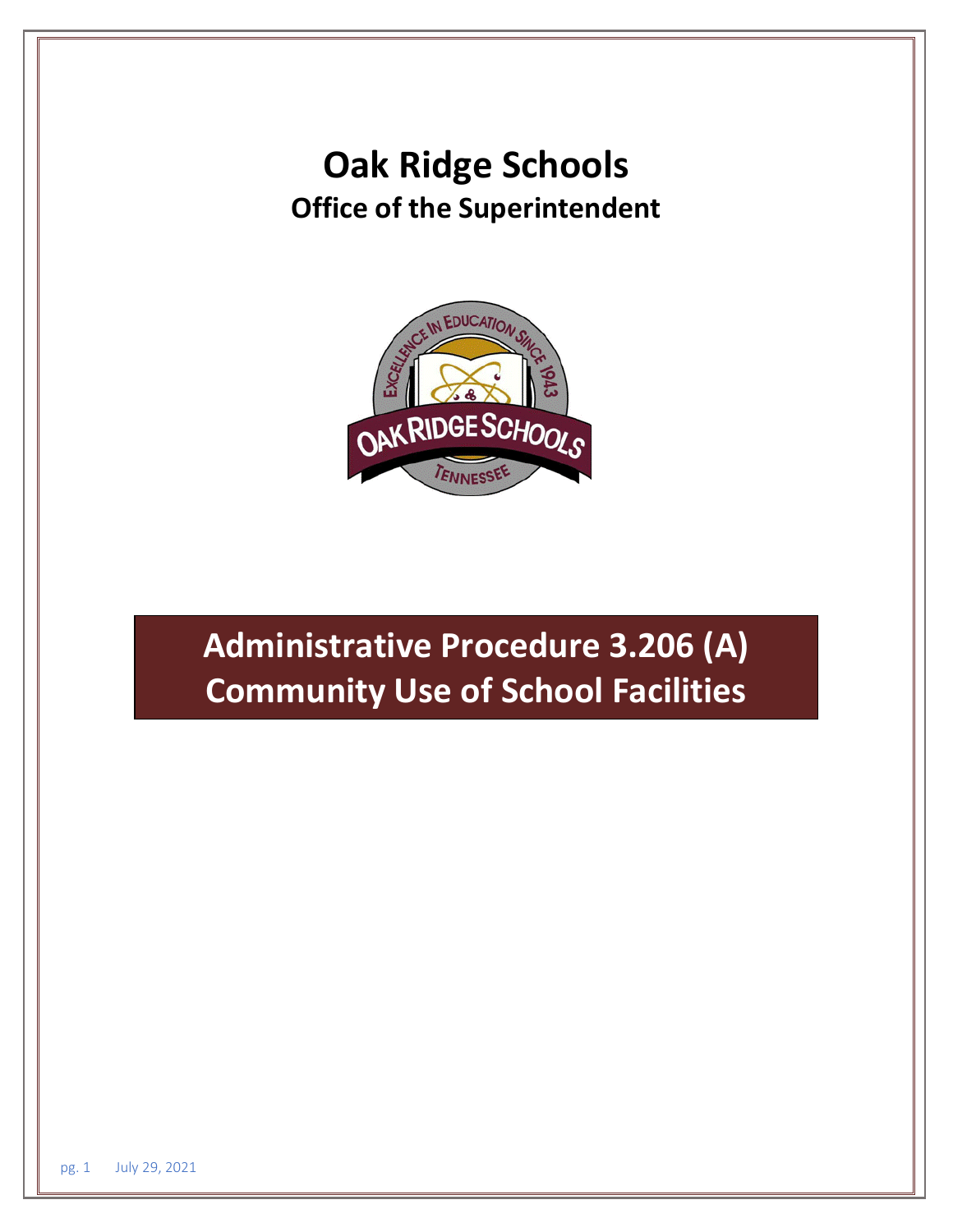# **Oak Ridge Schools Office of the Superintendent**



# **Administrative Procedure 3.206 (A) Community Use of School Facilities**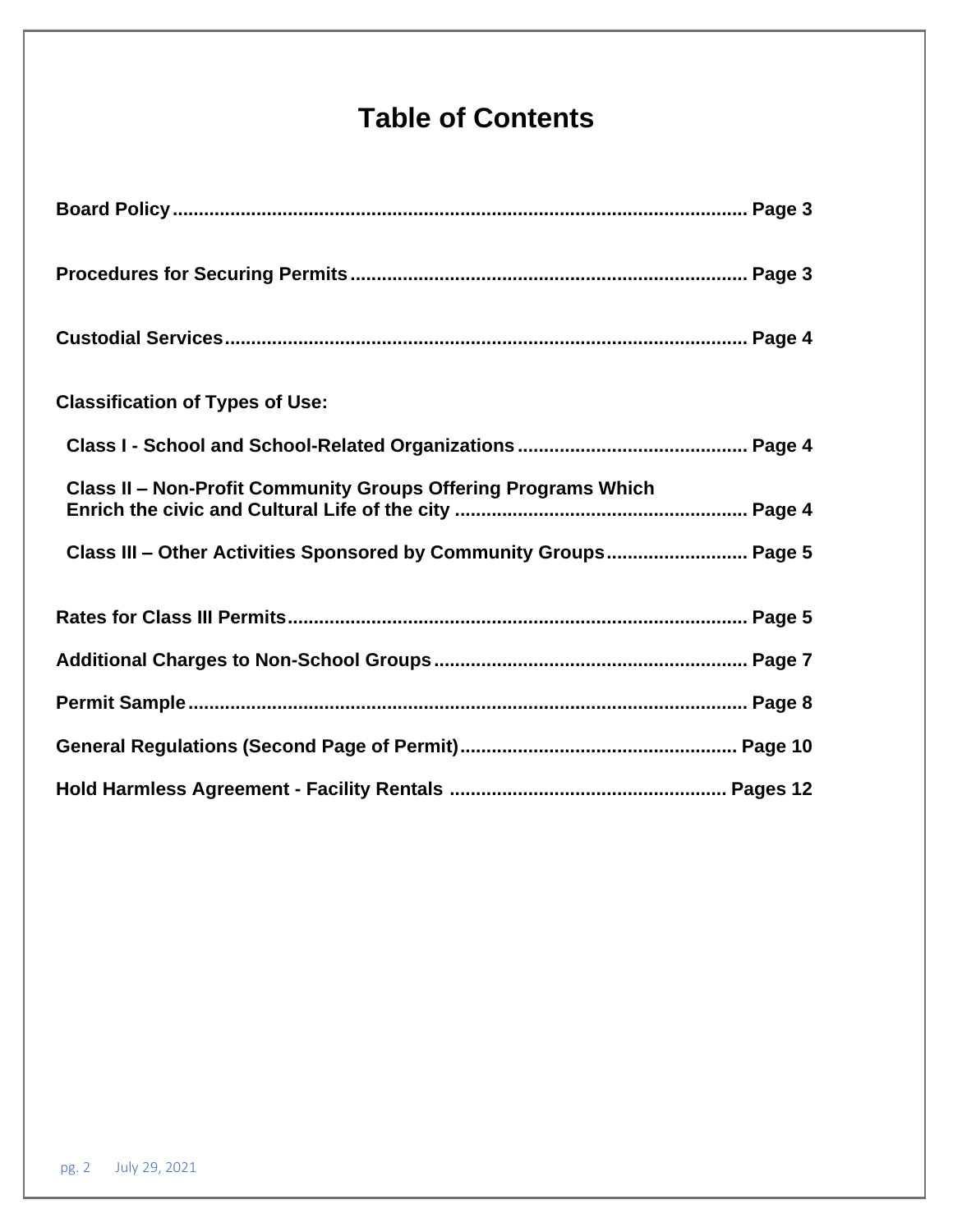# **Table of Contents**

| <b>Classification of Types of Use:</b>                                |  |
|-----------------------------------------------------------------------|--|
|                                                                       |  |
| <b>Class II - Non-Profit Community Groups Offering Programs Which</b> |  |
| Class III - Other Activities Sponsored by Community Groups Page 5     |  |
|                                                                       |  |
|                                                                       |  |
|                                                                       |  |
|                                                                       |  |
|                                                                       |  |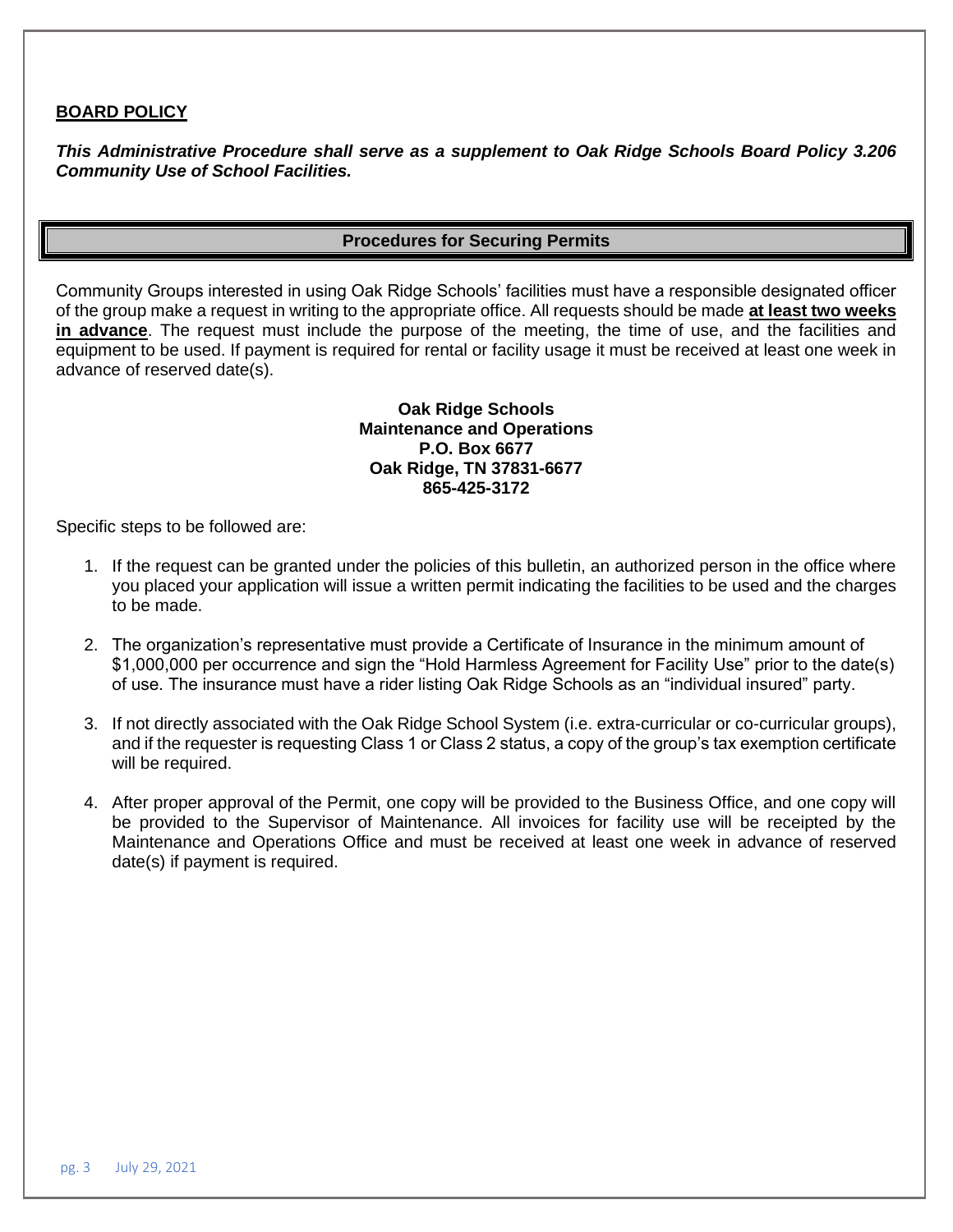### **BOARD POLICY**

*This Administrative Procedure shall serve as a supplement to Oak Ridge Schools Board Policy 3.206 Community Use of School Facilities.*

### **Procedures for Securing Permits**

Community Groups interested in using Oak Ridge Schools' facilities must have a responsible designated officer of the group make a request in writing to the appropriate office. All requests should be made **at least two weeks in advance**. The request must include the purpose of the meeting, the time of use, and the facilities and equipment to be used. If payment is required for rental or facility usage it must be received at least one week in advance of reserved date(s).

#### **Oak Ridge Schools Maintenance and Operations P.O. Box 6677 Oak Ridge, TN 37831-6677 865-425-3172**

Specific steps to be followed are:

- 1. If the request can be granted under the policies of this bulletin, an authorized person in the office where you placed your application will issue a written permit indicating the facilities to be used and the charges to be made.
- 2. The organization's representative must provide a Certificate of Insurance in the minimum amount of \$1,000,000 per occurrence and sign the "Hold Harmless Agreement for Facility Use" prior to the date(s) of use. The insurance must have a rider listing Oak Ridge Schools as an "individual insured" party.
- 3. If not directly associated with the Oak Ridge School System (i.e. extra-curricular or co-curricular groups), and if the requester is requesting Class 1 or Class 2 status, a copy of the group's tax exemption certificate will be required.
- 4. After proper approval of the Permit, one copy will be provided to the Business Office, and one copy will be provided to the Supervisor of Maintenance. All invoices for facility use will be receipted by the Maintenance and Operations Office and must be received at least one week in advance of reserved date(s) if payment is required.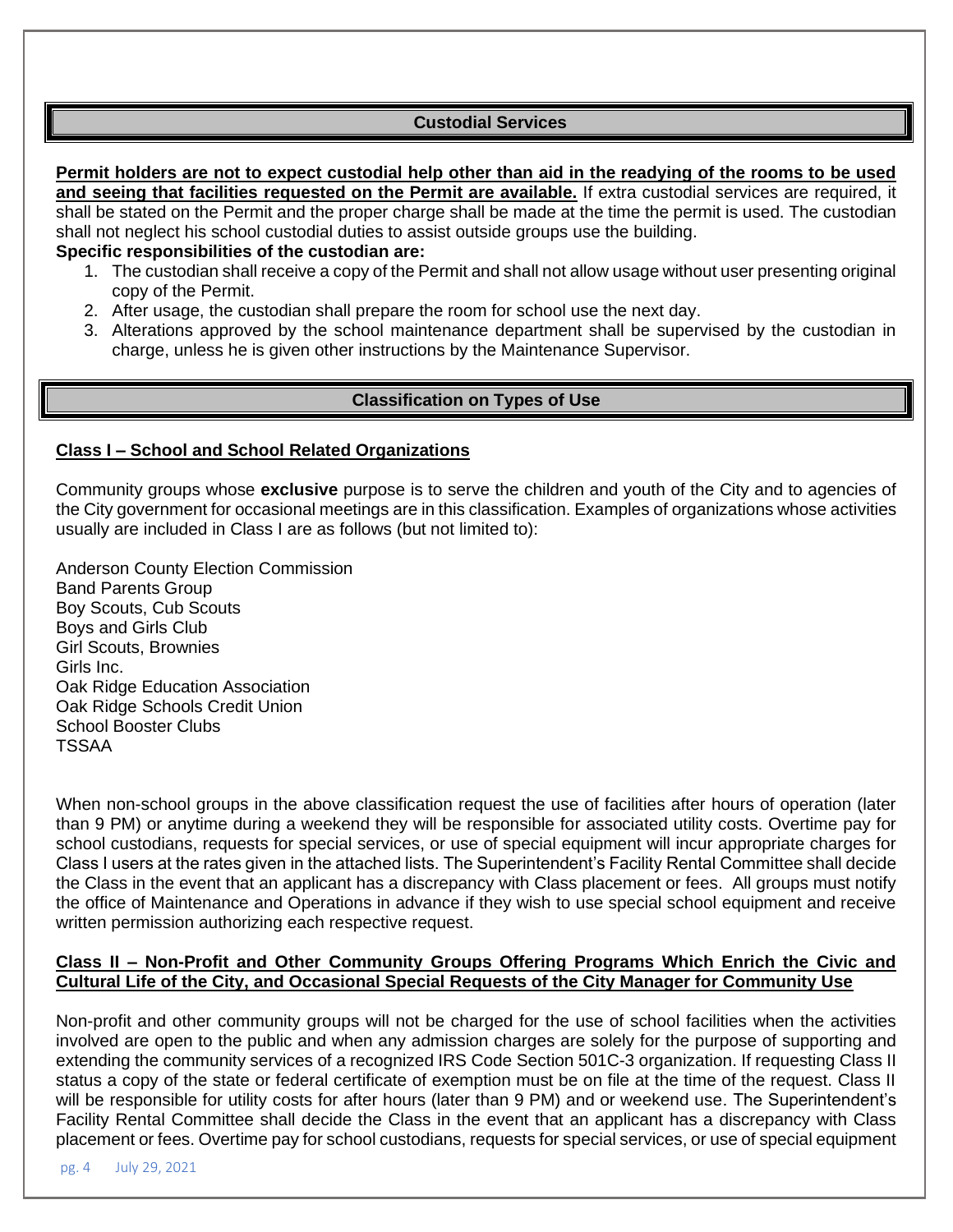# **Custodial Services**

**Permit holders are not to expect custodial help other than aid in the readying of the rooms to be used and seeing that facilities requested on the Permit are available.** If extra custodial services are required, it shall be stated on the Permit and the proper charge shall be made at the time the permit is used. The custodian shall not neglect his school custodial duties to assist outside groups use the building.

**Specific responsibilities of the custodian are:**

- 1. The custodian shall receive a copy of the Permit and shall not allow usage without user presenting original copy of the Permit.
- 2. After usage, the custodian shall prepare the room for school use the next day.
- 3. Alterations approved by the school maintenance department shall be supervised by the custodian in charge, unless he is given other instructions by the Maintenance Supervisor.

## **Classification on Types of Use**

#### **Class I – School and School Related Organizations**

Community groups whose **exclusive** purpose is to serve the children and youth of the City and to agencies of the City government for occasional meetings are in this classification. Examples of organizations whose activities usually are included in Class I are as follows (but not limited to):

Anderson County Election Commission Band Parents Group Boy Scouts, Cub Scouts Boys and Girls Club Girl Scouts, Brownies Girls Inc. Oak Ridge Education Association Oak Ridge Schools Credit Union School Booster Clubs TSSAA

When non-school groups in the above classification request the use of facilities after hours of operation (later than 9 PM) or anytime during a weekend they will be responsible for associated utility costs. Overtime pay for school custodians, requests for special services, or use of special equipment will incur appropriate charges for Class I users at the rates given in the attached lists. The Superintendent's Facility Rental Committee shall decide the Class in the event that an applicant has a discrepancy with Class placement or fees. All groups must notify the office of Maintenance and Operations in advance if they wish to use special school equipment and receive written permission authorizing each respective request.

#### **Class II – Non-Profit and Other Community Groups Offering Programs Which Enrich the Civic and Cultural Life of the City, and Occasional Special Requests of the City Manager for Community Use**

Non-profit and other community groups will not be charged for the use of school facilities when the activities involved are open to the public and when any admission charges are solely for the purpose of supporting and extending the community services of a recognized IRS Code Section 501C-3 organization. If requesting Class II status a copy of the state or federal certificate of exemption must be on file at the time of the request. Class II will be responsible for utility costs for after hours (later than 9 PM) and or weekend use. The Superintendent's Facility Rental Committee shall decide the Class in the event that an applicant has a discrepancy with Class placement or fees. Overtime pay for school custodians, requests for special services, or use of special equipment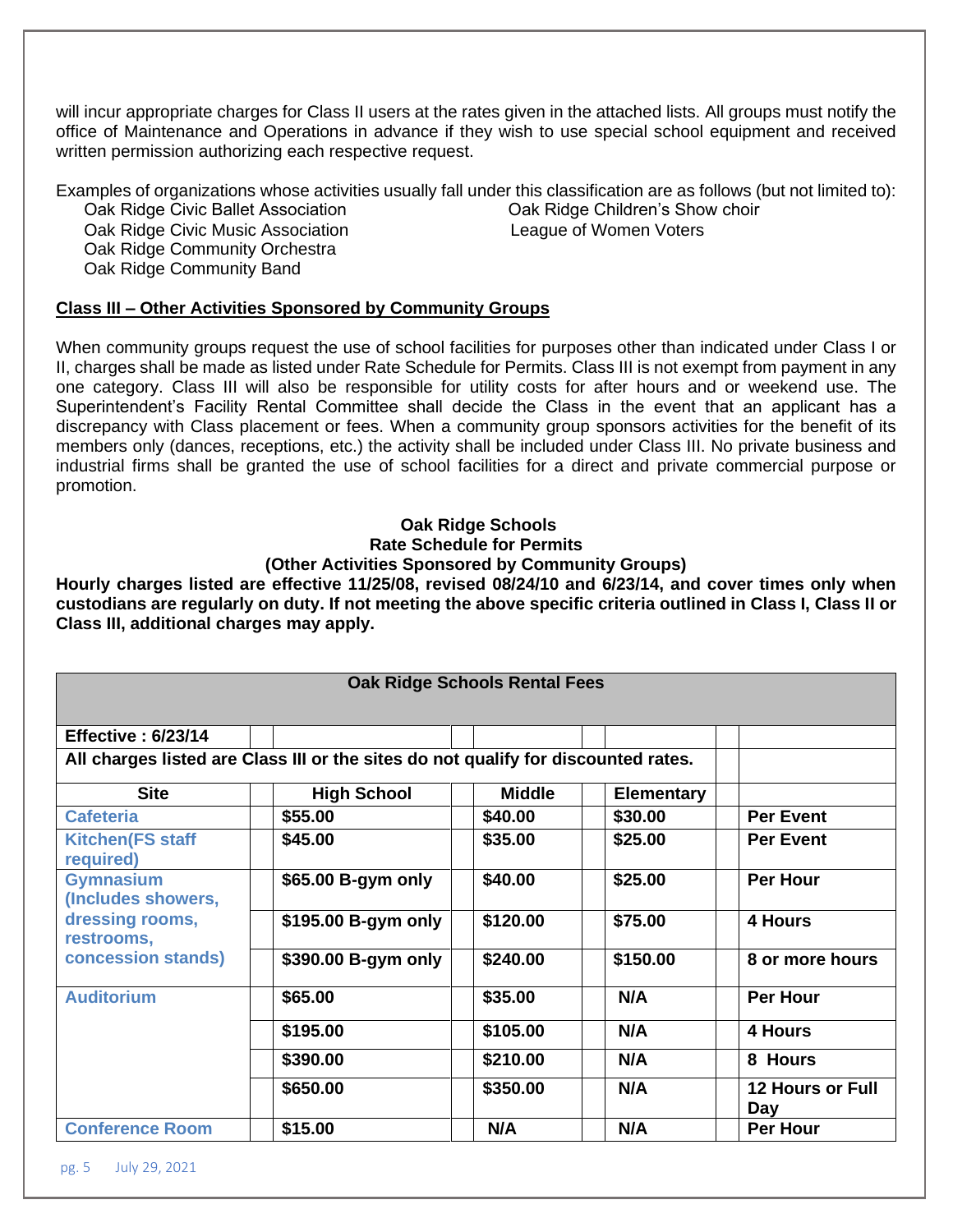will incur appropriate charges for Class II users at the rates given in the attached lists. All groups must notify the office of Maintenance and Operations in advance if they wish to use special school equipment and received written permission authorizing each respective request.

Examples of organizations whose activities usually fall under this classification are as follows (but not limited to):

Oak Ridge Civic Ballet Association Oak Ridge Children's Show choir Oak Ridge Civic Music Association **League of Women Voters** Oak Ridge Community Orchestra Oak Ridge Community Band

# **Class III – Other Activities Sponsored by Community Groups**

When community groups request the use of school facilities for purposes other than indicated under Class I or II, charges shall be made as listed under Rate Schedule for Permits. Class III is not exempt from payment in any one category. Class III will also be responsible for utility costs for after hours and or weekend use. The Superintendent's Facility Rental Committee shall decide the Class in the event that an applicant has a discrepancy with Class placement or fees. When a community group sponsors activities for the benefit of its members only (dances, receptions, etc.) the activity shall be included under Class III. No private business and industrial firms shall be granted the use of school facilities for a direct and private commercial purpose or promotion.

## **Oak Ridge Schools Rate Schedule for Permits (Other Activities Sponsored by Community Groups)**

**Hourly charges listed are effective 11/25/08, revised 08/24/10 and 6/23/14, and cover times only when custodians are regularly on duty. If not meeting the above specific criteria outlined in Class I, Class II or Class III, additional charges may apply.** 

| <b>Oak Ridge Schools Rental Fees</b>                                                          |                     |               |                   |                                |  |  |  |  |
|-----------------------------------------------------------------------------------------------|---------------------|---------------|-------------------|--------------------------------|--|--|--|--|
|                                                                                               |                     |               |                   |                                |  |  |  |  |
| <b>Effective: 6/23/14</b>                                                                     |                     |               |                   |                                |  |  |  |  |
| All charges listed are Class III or the sites do not qualify for discounted rates.            |                     |               |                   |                                |  |  |  |  |
| <b>Site</b>                                                                                   | <b>High School</b>  | <b>Middle</b> | <b>Elementary</b> |                                |  |  |  |  |
| <b>Cafeteria</b>                                                                              | \$55.00             | \$40.00       | \$30.00           | <b>Per Event</b>               |  |  |  |  |
| <b>Kitchen(FS staff</b><br>required)                                                          | \$45.00             | \$35.00       | \$25.00           | <b>Per Event</b>               |  |  |  |  |
| <b>Gymnasium</b><br>(Includes showers,<br>dressing rooms,<br>restrooms,<br>concession stands) | \$65.00 B-gym only  | \$40.00       | \$25.00           | <b>Per Hour</b>                |  |  |  |  |
|                                                                                               | \$195.00 B-gym only | \$120.00      | \$75.00           | 4 Hours                        |  |  |  |  |
|                                                                                               | \$390.00 B-gym only | \$240.00      | \$150.00          | 8 or more hours                |  |  |  |  |
| <b>Auditorium</b>                                                                             | \$65.00             | \$35.00       | N/A               | <b>Per Hour</b>                |  |  |  |  |
|                                                                                               | \$195.00            | \$105.00      | N/A               | 4 Hours                        |  |  |  |  |
|                                                                                               | \$390.00            | \$210.00      | N/A               | 8 Hours                        |  |  |  |  |
|                                                                                               | \$650.00            | \$350.00      | N/A               | <b>12 Hours or Full</b><br>Day |  |  |  |  |
| <b>Conference Room</b>                                                                        | \$15.00             | N/A           | N/A               | <b>Per Hour</b>                |  |  |  |  |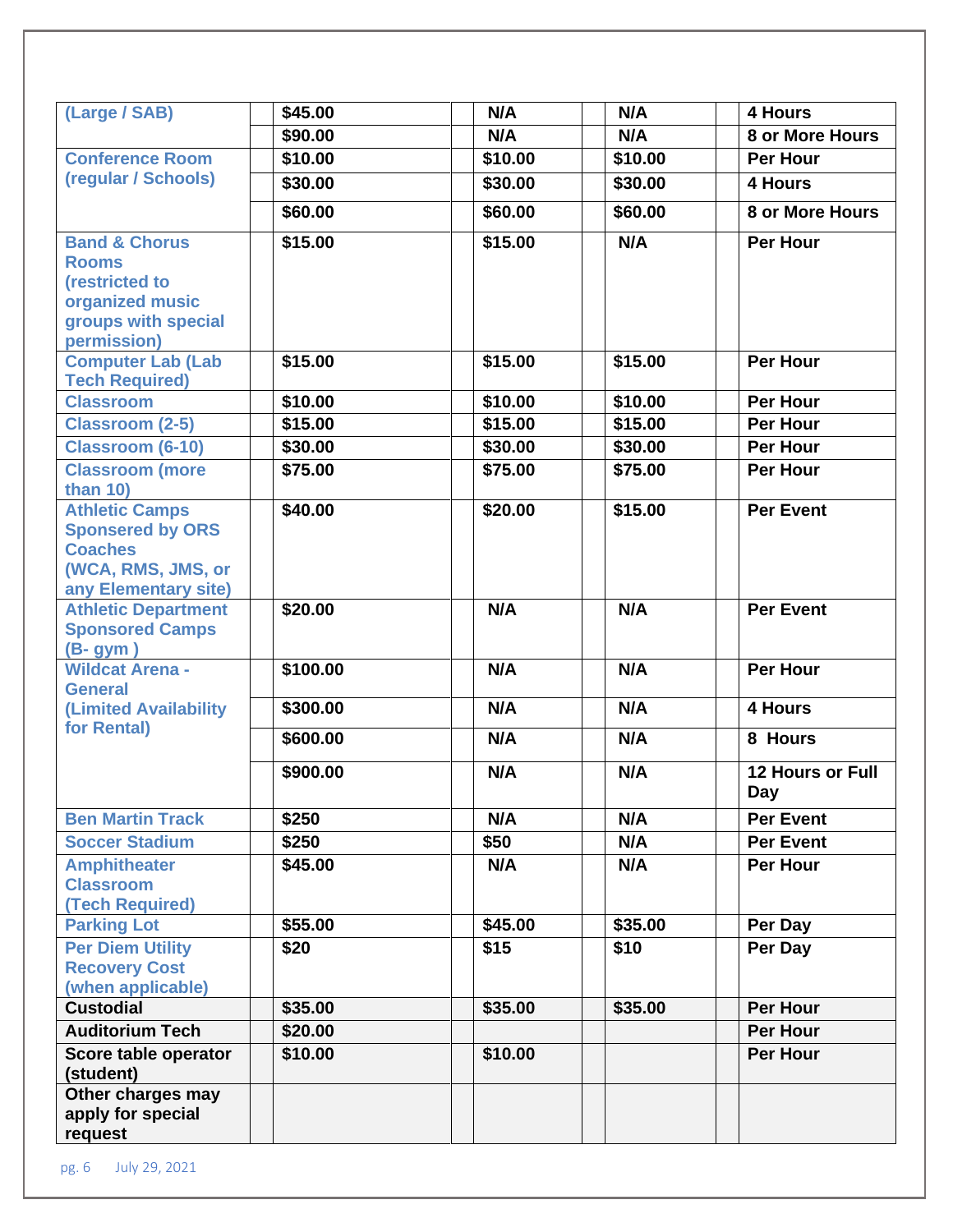| (Large / SAB)                                                                                                                                                                         | \$45.00  | N/A     | N/A     | 4 Hours                 |
|---------------------------------------------------------------------------------------------------------------------------------------------------------------------------------------|----------|---------|---------|-------------------------|
|                                                                                                                                                                                       | \$90.00  | N/A     | N/A     | 8 or More Hours         |
| <b>Conference Room</b>                                                                                                                                                                | \$10.00  | \$10.00 | \$10.00 | <b>Per Hour</b>         |
| (regular / Schools)                                                                                                                                                                   | \$30.00  | \$30.00 | \$30.00 | 4 Hours                 |
|                                                                                                                                                                                       | \$60.00  | \$60.00 | \$60.00 | 8 or More Hours         |
| <b>Band &amp; Chorus</b><br><b>Rooms</b><br>(restricted to<br>organized music<br>groups with special<br>permission)                                                                   | \$15.00  | \$15.00 | N/A     | <b>Per Hour</b>         |
| <b>Computer Lab (Lab</b><br><b>Tech Required)</b>                                                                                                                                     | \$15.00  | \$15.00 | \$15.00 | <b>Per Hour</b>         |
| <b>Classroom</b>                                                                                                                                                                      | \$10.00  | \$10.00 | \$10.00 | <b>Per Hour</b>         |
| <b>Classroom (2-5)</b>                                                                                                                                                                | \$15.00  | \$15.00 | \$15.00 | <b>Per Hour</b>         |
| <b>Classroom (6-10)</b>                                                                                                                                                               | \$30.00  | \$30.00 | \$30.00 | <b>Per Hour</b>         |
| <b>Classroom (more</b><br>than $10$ )                                                                                                                                                 | \$75.00  | \$75.00 | \$75.00 | <b>Per Hour</b>         |
| <b>Athletic Camps</b><br><b>Sponsered by ORS</b><br><b>Coaches</b><br>(WCA, RMS, JMS, or<br>any Elementary site)<br><b>Athletic Department</b><br><b>Sponsored Camps</b><br>$(B-gym)$ | \$40.00  | \$20.00 | \$15.00 | <b>Per Event</b>        |
|                                                                                                                                                                                       | \$20.00  | N/A     | N/A     | <b>Per Event</b>        |
| <b>Wildcat Arena -</b><br><b>General</b>                                                                                                                                              | \$100.00 | N/A     | N/A     | <b>Per Hour</b>         |
| <b>(Limited Availability)</b>                                                                                                                                                         | \$300.00 | N/A     | N/A     | 4 Hours                 |
| for Rental)                                                                                                                                                                           | \$600.00 | N/A     | N/A     | 8 Hours                 |
|                                                                                                                                                                                       | \$900.00 | N/A     | N/A     | 12 Hours or Full<br>Day |
| <b>Ben Martin Track</b>                                                                                                                                                               | \$250    | N/A     | N/A     | <b>Per Event</b>        |
| <b>Soccer Stadium</b>                                                                                                                                                                 | \$250    | \$50    | N/A     | <b>Per Event</b>        |
| <b>Amphitheater</b><br><b>Classroom</b><br>(Tech Required)                                                                                                                            | \$45.00  | N/A     | N/A     | <b>Per Hour</b>         |
| <b>Parking Lot</b>                                                                                                                                                                    | \$55.00  | \$45.00 | \$35.00 | Per Day                 |
| <b>Per Diem Utility</b><br><b>Recovery Cost</b><br>(when applicable)                                                                                                                  | \$20     | \$15    | \$10    | Per Day                 |
| <b>Custodial</b>                                                                                                                                                                      | \$35.00  | \$35.00 | \$35.00 | <b>Per Hour</b>         |
| <b>Auditorium Tech</b>                                                                                                                                                                | \$20.00  |         |         | <b>Per Hour</b>         |
| Score table operator<br>(student)                                                                                                                                                     | \$10.00  | \$10.00 |         | <b>Per Hour</b>         |
| Other charges may<br>apply for special<br>request                                                                                                                                     |          |         |         |                         |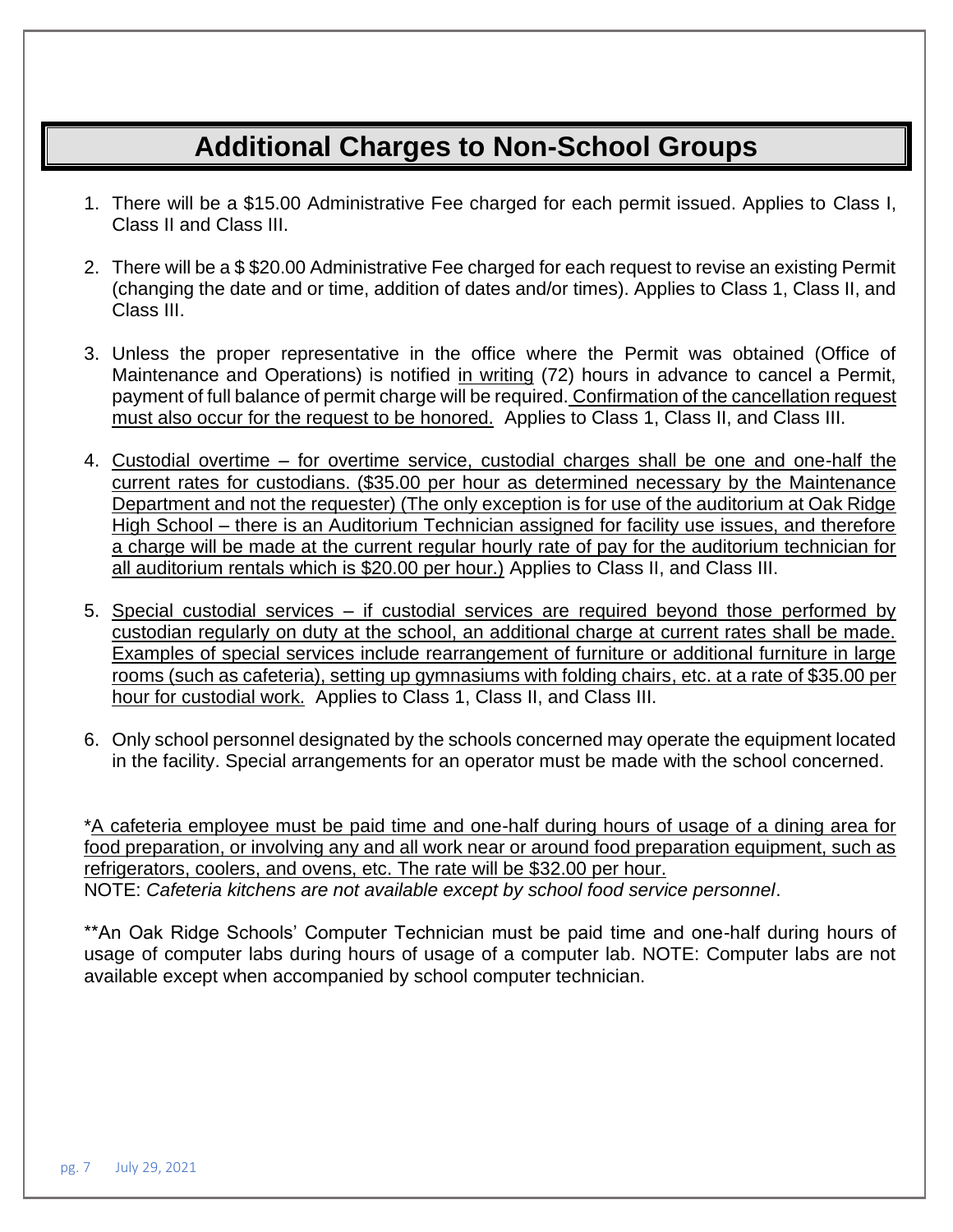# **Additional Charges to Non-School Groups**

- 1. There will be a \$15.00 Administrative Fee charged for each permit issued. Applies to Class I, Class II and Class III.
- 2. There will be a \$ \$20.00 Administrative Fee charged for each request to revise an existing Permit (changing the date and or time, addition of dates and/or times). Applies to Class 1, Class II, and Class III.
- 3. Unless the proper representative in the office where the Permit was obtained (Office of Maintenance and Operations) is notified in writing (72) hours in advance to cancel a Permit, payment of full balance of permit charge will be required. Confirmation of the cancellation request must also occur for the request to be honored. Applies to Class 1, Class II, and Class III.
- 4. Custodial overtime for overtime service, custodial charges shall be one and one-half the current rates for custodians. (\$35.00 per hour as determined necessary by the Maintenance Department and not the requester) (The only exception is for use of the auditorium at Oak Ridge High School – there is an Auditorium Technician assigned for facility use issues, and therefore a charge will be made at the current regular hourly rate of pay for the auditorium technician for all auditorium rentals which is \$20.00 per hour.) Applies to Class II, and Class III.
- 5. Special custodial services if custodial services are required beyond those performed by custodian regularly on duty at the school, an additional charge at current rates shall be made. Examples of special services include rearrangement of furniture or additional furniture in large rooms (such as cafeteria), setting up gymnasiums with folding chairs, etc. at a rate of \$35.00 per hour for custodial work. Applies to Class 1, Class II, and Class III.
- 6. Only school personnel designated by the schools concerned may operate the equipment located in the facility. Special arrangements for an operator must be made with the school concerned.

\*A cafeteria employee must be paid time and one-half during hours of usage of a dining area for food preparation, or involving any and all work near or around food preparation equipment, such as refrigerators, coolers, and ovens, etc. The rate will be \$32.00 per hour. NOTE: *Cafeteria kitchens are not available except by school food service personnel*.

\*\*An Oak Ridge Schools' Computer Technician must be paid time and one-half during hours of usage of computer labs during hours of usage of a computer lab. NOTE: Computer labs are not available except when accompanied by school computer technician.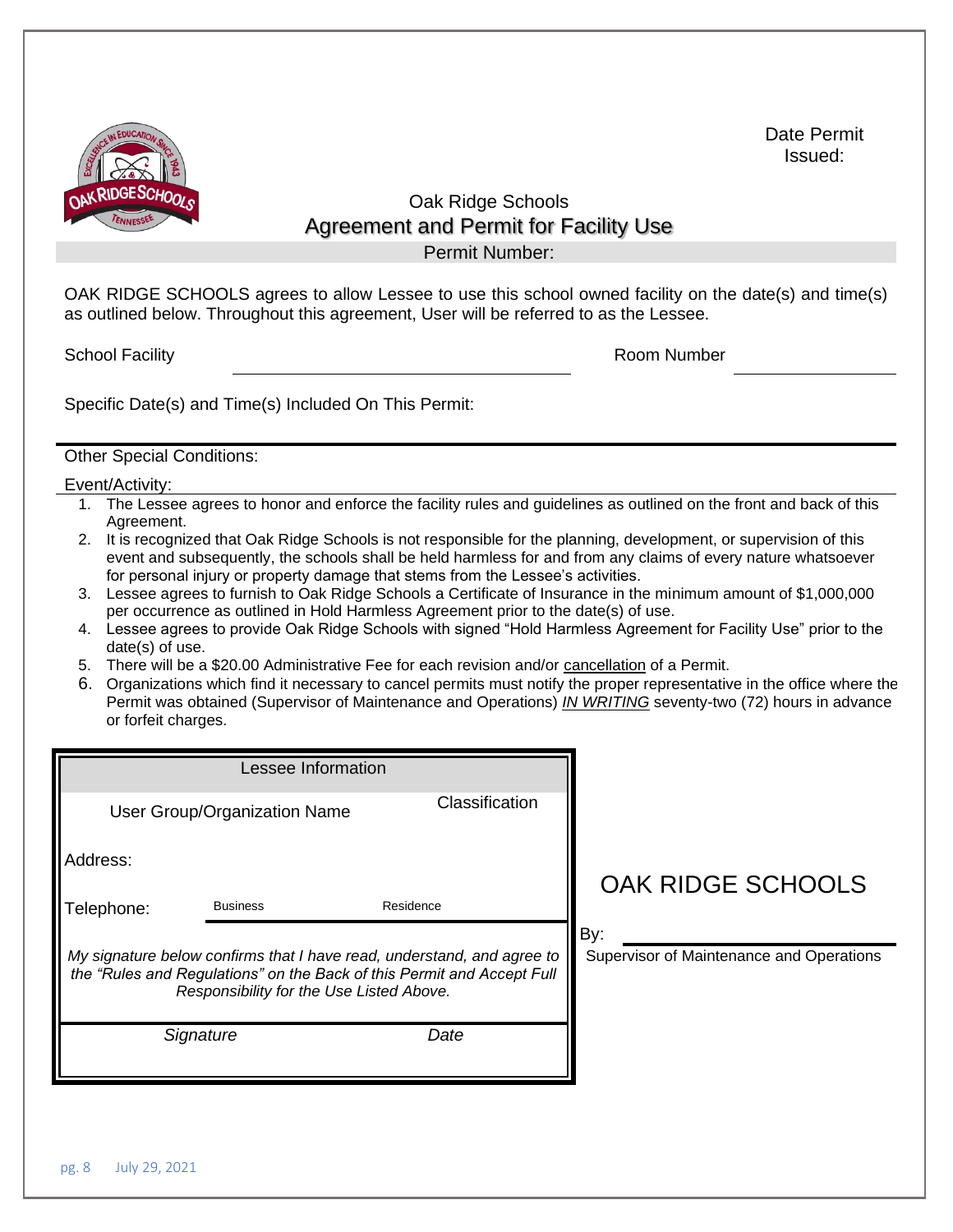

Date Permit Issued:

# Oak Ridge Schools Agreement and Permit for Facility Use

Permit Number:

OAK RIDGE SCHOOLS agrees to allow Lessee to use this school owned facility on the date(s) and time(s) as outlined below. Throughout this agreement, User will be referred to as the Lessee.

School Facility **Room Number** Room Number

Specific Date(s) and Time(s) Included On This Permit:

## Other Special Conditions:

Event/Activity:

- 1. The Lessee agrees to honor and enforce the facility rules and guidelines as outlined on the front and back of this Agreement.
- 2. It is recognized that Oak Ridge Schools is not responsible for the planning, development, or supervision of this event and subsequently, the schools shall be held harmless for and from any claims of every nature whatsoever for personal injury or property damage that stems from the Lessee's activities.
- 3. Lessee agrees to furnish to Oak Ridge Schools a Certificate of Insurance in the minimum amount of \$1,000,000 per occurrence as outlined in Hold Harmless Agreement prior to the date(s) of use.
- 4. Lessee agrees to provide Oak Ridge Schools with signed "Hold Harmless Agreement for Facility Use" prior to the date(s) of use.
- 5. There will be a \$20.00 Administrative Fee for each revision and/or cancellation of a Permit.
- 6. Organizations which find it necessary to cancel permits must notify the proper representative in the office where the Permit was obtained (Supervisor of Maintenance and Operations) *IN WRITING* seventy-two (72) hours in advance or forfeit charges.

|            | Lessee Information                                                                                                 |           |                                                                        |                                                 |
|------------|--------------------------------------------------------------------------------------------------------------------|-----------|------------------------------------------------------------------------|-------------------------------------------------|
|            | User Group/Organization Name                                                                                       |           | Classification                                                         |                                                 |
| Address:   |                                                                                                                    |           |                                                                        | <b>OAK RIDGE SCHOOLS</b>                        |
| Telephone: | <b>Business</b>                                                                                                    | Residence |                                                                        |                                                 |
|            | the "Rules and Regulations" on the Back of this Permit and Accept Full<br>Responsibility for the Use Listed Above. |           | My signature below confirms that I have read, understand, and agree to | By:<br>Supervisor of Maintenance and Operations |
|            | Signature                                                                                                          |           | Date                                                                   |                                                 |
|            |                                                                                                                    |           |                                                                        |                                                 |
|            |                                                                                                                    |           |                                                                        |                                                 |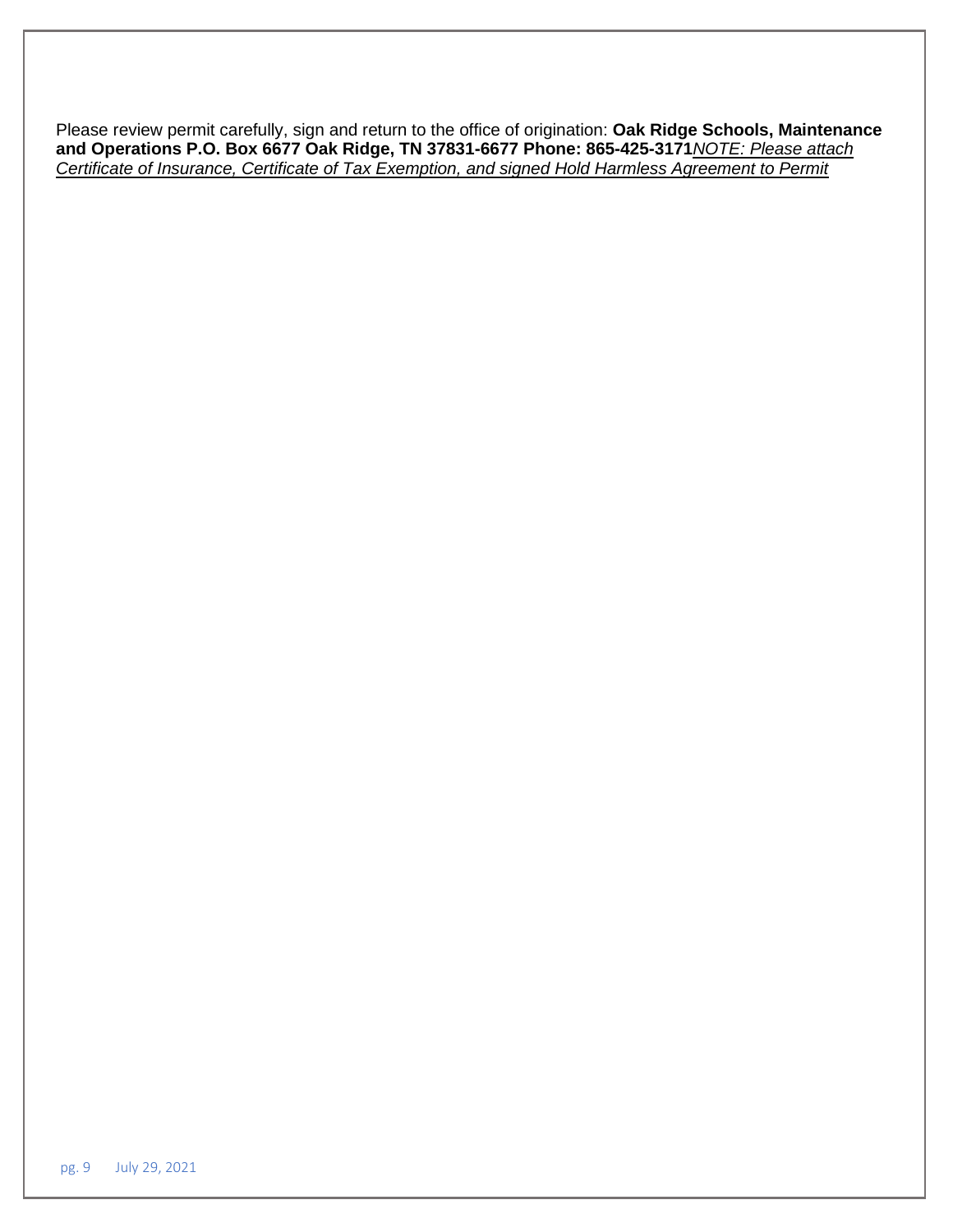Please review permit carefully, sign and return to the office of origination: **Oak Ridge Schools, Maintenance and Operations P.O. Box 6677 Oak Ridge, TN 37831-6677 Phone: 865-425-3171***NOTE: Please attach Certificate of Insurance, Certificate of Tax Exemption, and signed Hold Harmless Agreement to Permit*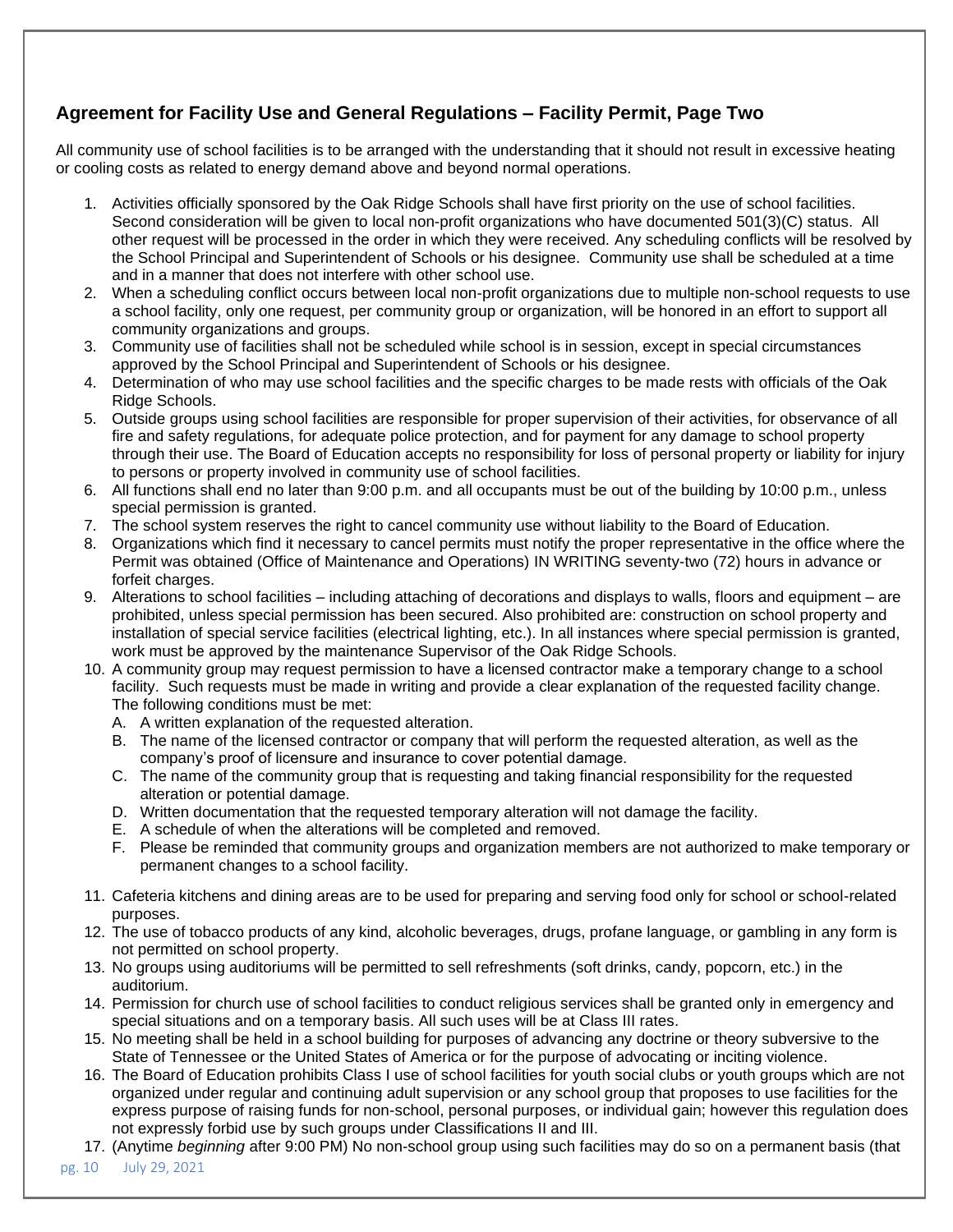# **Agreement for Facility Use and General Regulations – Facility Permit, Page Two**

All community use of school facilities is to be arranged with the understanding that it should not result in excessive heating or cooling costs as related to energy demand above and beyond normal operations.

- 1. Activities officially sponsored by the Oak Ridge Schools shall have first priority on the use of school facilities. Second consideration will be given to local non-profit organizations who have documented 501(3)(C) status. All other request will be processed in the order in which they were received. Any scheduling conflicts will be resolved by the School Principal and Superintendent of Schools or his designee. Community use shall be scheduled at a time and in a manner that does not interfere with other school use.
- 2. When a scheduling conflict occurs between local non-profit organizations due to multiple non-school requests to use a school facility, only one request, per community group or organization, will be honored in an effort to support all community organizations and groups.
- 3. Community use of facilities shall not be scheduled while school is in session, except in special circumstances approved by the School Principal and Superintendent of Schools or his designee.
- 4. Determination of who may use school facilities and the specific charges to be made rests with officials of the Oak Ridge Schools.
- 5. Outside groups using school facilities are responsible for proper supervision of their activities, for observance of all fire and safety regulations, for adequate police protection, and for payment for any damage to school property through their use. The Board of Education accepts no responsibility for loss of personal property or liability for injury to persons or property involved in community use of school facilities.
- 6. All functions shall end no later than 9:00 p.m. and all occupants must be out of the building by 10:00 p.m., unless special permission is granted.
- 7. The school system reserves the right to cancel community use without liability to the Board of Education.
- 8. Organizations which find it necessary to cancel permits must notify the proper representative in the office where the Permit was obtained (Office of Maintenance and Operations) IN WRITING seventy-two (72) hours in advance or forfeit charges.
- 9. Alterations to school facilities including attaching of decorations and displays to walls, floors and equipment are prohibited, unless special permission has been secured. Also prohibited are: construction on school property and installation of special service facilities (electrical lighting, etc.). In all instances where special permission is granted, work must be approved by the maintenance Supervisor of the Oak Ridge Schools.
- 10. A community group may request permission to have a licensed contractor make a temporary change to a school facility. Such requests must be made in writing and provide a clear explanation of the requested facility change. The following conditions must be met:
	- A. A written explanation of the requested alteration.
	- B. The name of the licensed contractor or company that will perform the requested alteration, as well as the company's proof of licensure and insurance to cover potential damage.
	- C. The name of the community group that is requesting and taking financial responsibility for the requested alteration or potential damage.
	- D. Written documentation that the requested temporary alteration will not damage the facility.
	- E. A schedule of when the alterations will be completed and removed.
	- F. Please be reminded that community groups and organization members are not authorized to make temporary or permanent changes to a school facility.
- 11. Cafeteria kitchens and dining areas are to be used for preparing and serving food only for school or school-related purposes.
- 12. The use of tobacco products of any kind, alcoholic beverages, drugs, profane language, or gambling in any form is not permitted on school property.
- 13. No groups using auditoriums will be permitted to sell refreshments (soft drinks, candy, popcorn, etc.) in the auditorium.
- 14. Permission for church use of school facilities to conduct religious services shall be granted only in emergency and special situations and on a temporary basis. All such uses will be at Class III rates.
- 15. No meeting shall be held in a school building for purposes of advancing any doctrine or theory subversive to the State of Tennessee or the United States of America or for the purpose of advocating or inciting violence.
- 16. The Board of Education prohibits Class I use of school facilities for youth social clubs or youth groups which are not organized under regular and continuing adult supervision or any school group that proposes to use facilities for the express purpose of raising funds for non-school, personal purposes, or individual gain; however this regulation does not expressly forbid use by such groups under Classifications II and III.
- 17. (Anytime *beginning* after 9:00 PM) No non-school group using such facilities may do so on a permanent basis (that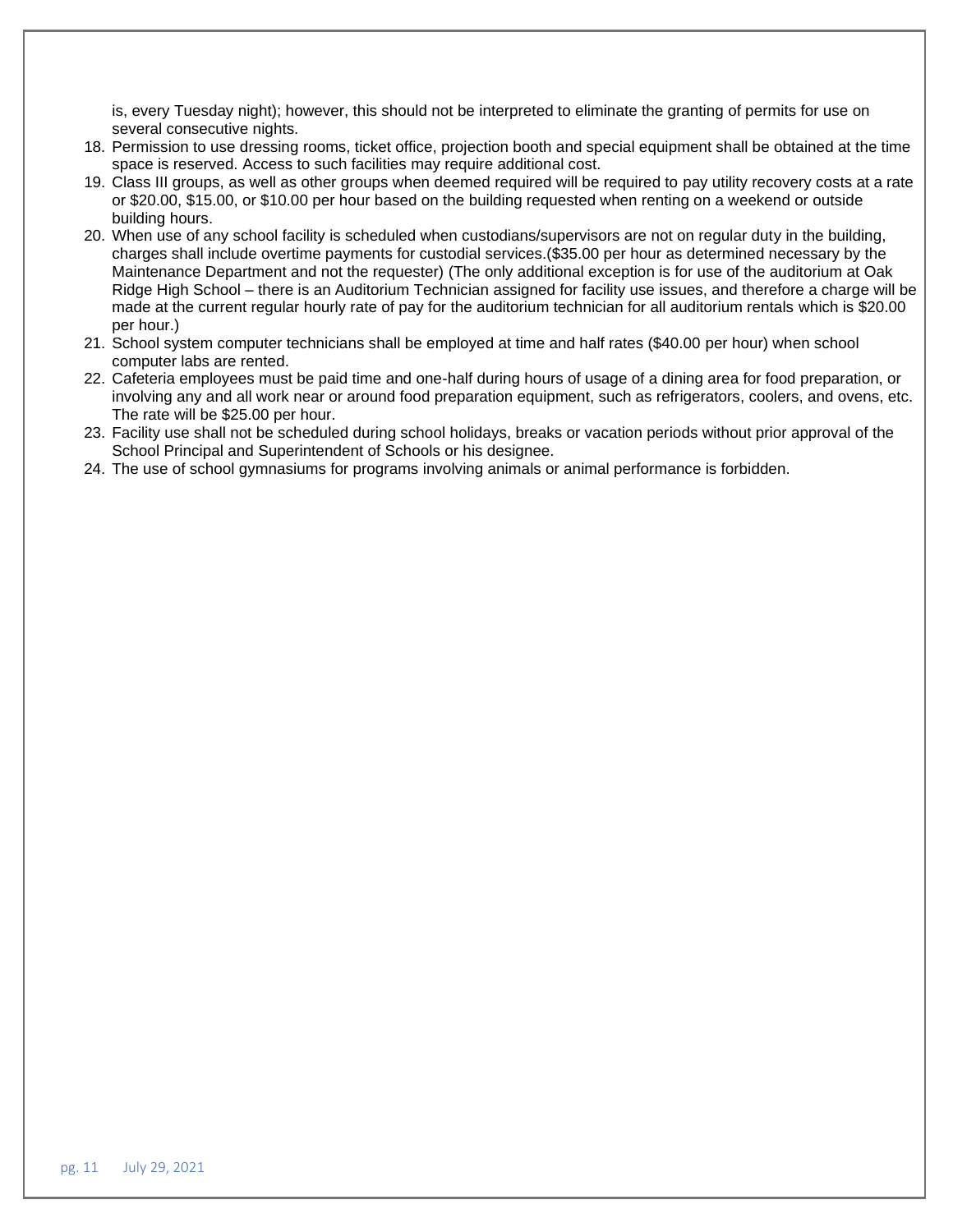is, every Tuesday night); however, this should not be interpreted to eliminate the granting of permits for use on several consecutive nights.

- 18. Permission to use dressing rooms, ticket office, projection booth and special equipment shall be obtained at the time space is reserved. Access to such facilities may require additional cost.
- 19. Class III groups, as well as other groups when deemed required will be required to pay utility recovery costs at a rate or \$20.00, \$15.00, or \$10.00 per hour based on the building requested when renting on a weekend or outside building hours.
- 20. When use of any school facility is scheduled when custodians/supervisors are not on regular duty in the building, charges shall include overtime payments for custodial services.(\$35.00 per hour as determined necessary by the Maintenance Department and not the requester) (The only additional exception is for use of the auditorium at Oak Ridge High School – there is an Auditorium Technician assigned for facility use issues, and therefore a charge will be made at the current regular hourly rate of pay for the auditorium technician for all auditorium rentals which is \$20.00 per hour.)
- 21. School system computer technicians shall be employed at time and half rates (\$40.00 per hour) when school computer labs are rented.
- 22. Cafeteria employees must be paid time and one-half during hours of usage of a dining area for food preparation, or involving any and all work near or around food preparation equipment, such as refrigerators, coolers, and ovens, etc. The rate will be \$25.00 per hour.
- 23. Facility use shall not be scheduled during school holidays, breaks or vacation periods without prior approval of the School Principal and Superintendent of Schools or his designee.
- 24. The use of school gymnasiums for programs involving animals or animal performance is forbidden.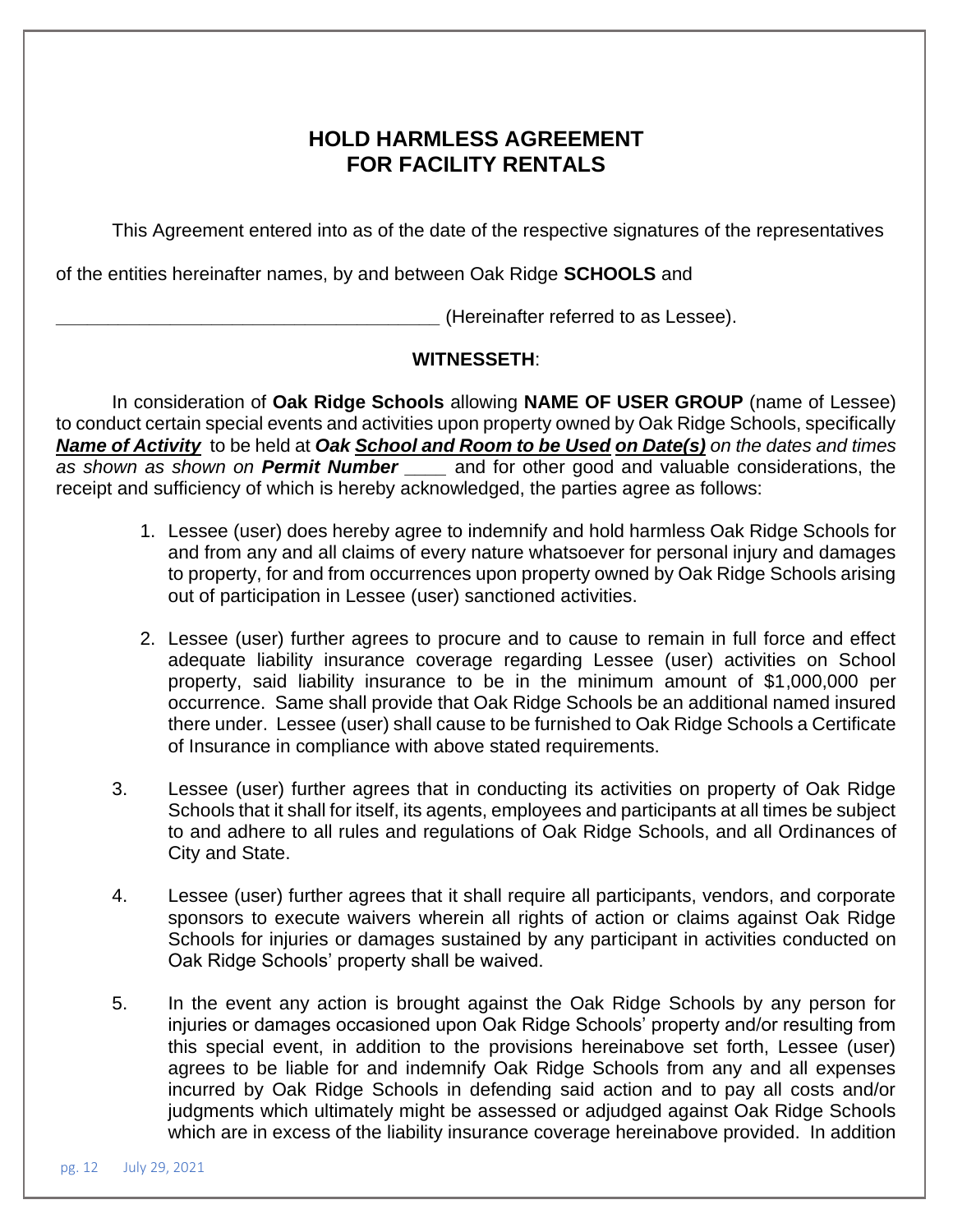# **HOLD HARMLESS AGREEMENT FOR FACILITY RENTALS**

This Agreement entered into as of the date of the respective signatures of the representatives

of the entities hereinafter names, by and between Oak Ridge **SCHOOLS** and

**\_\_\_\_\_\_\_\_\_\_\_\_\_\_\_\_\_\_\_\_\_\_\_\_\_\_\_\_\_\_\_\_\_\_\_\_\_** (Hereinafter referred to as Lessee).

# **WITNESSETH**:

In consideration of **Oak Ridge Schools** allowing **NAME OF USER GROUP** (name of Lessee) to conduct certain special events and activities upon property owned by Oak Ridge Schools, specifically *Name of Activity* to be held at *Oak School and Room to be Used on Date(s) on the dates and times as shown as shown on Permit Number \_\_\_\_* and for other good and valuable considerations, the receipt and sufficiency of which is hereby acknowledged, the parties agree as follows:

- 1. Lessee (user) does hereby agree to indemnify and hold harmless Oak Ridge Schools for and from any and all claims of every nature whatsoever for personal injury and damages to property, for and from occurrences upon property owned by Oak Ridge Schools arising out of participation in Lessee (user) sanctioned activities.
- 2. Lessee (user) further agrees to procure and to cause to remain in full force and effect adequate liability insurance coverage regarding Lessee (user) activities on School property, said liability insurance to be in the minimum amount of \$1,000,000 per occurrence. Same shall provide that Oak Ridge Schools be an additional named insured there under. Lessee (user) shall cause to be furnished to Oak Ridge Schools a Certificate of Insurance in compliance with above stated requirements.
- 3. Lessee (user) further agrees that in conducting its activities on property of Oak Ridge Schools that it shall for itself, its agents, employees and participants at all times be subject to and adhere to all rules and regulations of Oak Ridge Schools, and all Ordinances of City and State.
- 4. Lessee (user) further agrees that it shall require all participants, vendors, and corporate sponsors to execute waivers wherein all rights of action or claims against Oak Ridge Schools for injuries or damages sustained by any participant in activities conducted on Oak Ridge Schools' property shall be waived.
- 5. In the event any action is brought against the Oak Ridge Schools by any person for injuries or damages occasioned upon Oak Ridge Schools' property and/or resulting from this special event, in addition to the provisions hereinabove set forth, Lessee (user) agrees to be liable for and indemnify Oak Ridge Schools from any and all expenses incurred by Oak Ridge Schools in defending said action and to pay all costs and/or judgments which ultimately might be assessed or adjudged against Oak Ridge Schools which are in excess of the liability insurance coverage hereinabove provided. In addition